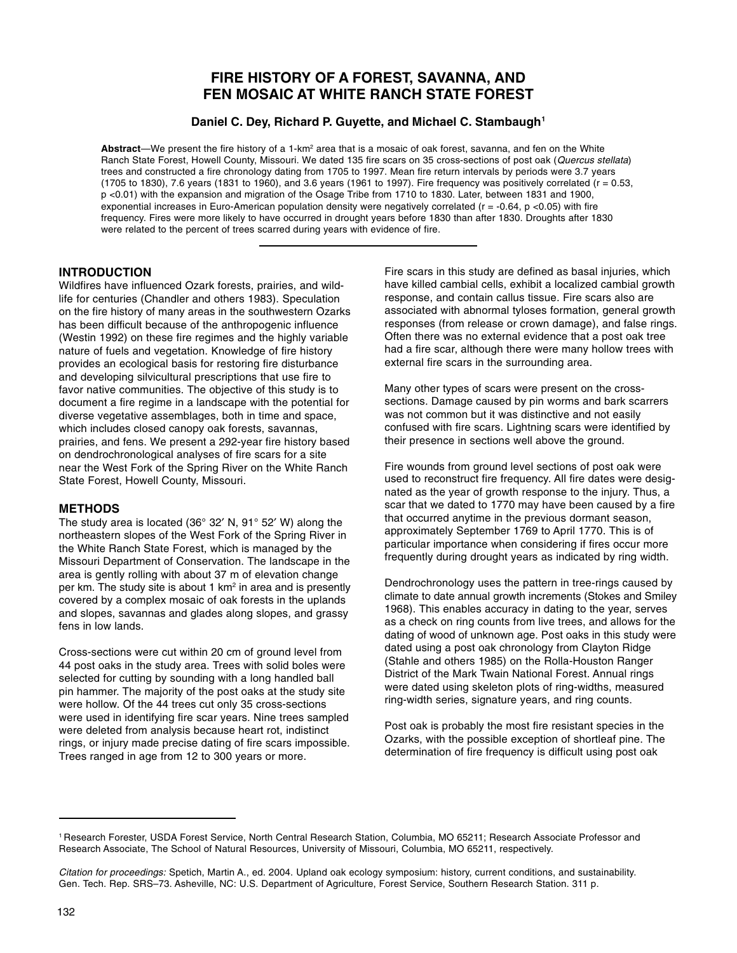# **FIRE HISTORY OF A FOREST, SAVANNA, AND FEN MOSAIC AT WHITE RANCH STATE FOREST**

**Daniel C. Dey, Richard P. Guyette, and Michael C. Stambaugh1**

Abstract—We present the fire history of a 1-km<sup>2</sup> area that is a mosaic of oak forest, savanna, and fen on the White Ranch State Forest, Howell County, Missouri. We dated 135 fire scars on 35 cross-sections of post oak (Quercus stellata) trees and constructed a fire chronology dating from 1705 to 1997. Mean fire return intervals by periods were 3.7 years (1705 to 1830), 7.6 years (1831 to 1960), and 3.6 years (1961 to 1997). Fire frequency was positively correlated (r = 0.53, p <0.01) with the expansion and migration of the Osage Tribe from 1710 to 1830. Later, between 1831 and 1900, exponential increases in Euro-American population density were negatively correlated ( $r = -0.64$ ,  $p < 0.05$ ) with fire frequency. Fires were more likely to have occurred in drought years before 1830 than after 1830. Droughts after 1830 were related to the percent of trees scarred during years with evidence of fire.

# **INTRODUCTION**

Wildfires have influenced Ozark forests, prairies, and wildlife for centuries (Chandler and others 1983). Speculation on the fire history of many areas in the southwestern Ozarks has been difficult because of the anthropogenic influence (Westin 1992) on these fire regimes and the highly variable nature of fuels and vegetation. Knowledge of fire history provides an ecological basis for restoring fire disturbance and developing silvicultural prescriptions that use fire to favor native communities. The objective of this study is to document a fire regime in a landscape with the potential for diverse vegetative assemblages, both in time and space, which includes closed canopy oak forests, savannas, prairies, and fens. We present a 292-year fire history based on dendrochronological analyses of fire scars for a site near the West Fork of the Spring River on the White Ranch State Forest, Howell County, Missouri.

# **METHODS**

The study area is located (36° 32′ N, 91° 52′ W) along the northeastern slopes of the West Fork of the Spring River in the White Ranch State Forest, which is managed by the Missouri Department of Conservation. The landscape in the area is gently rolling with about 37 m of elevation change per km. The study site is about 1 km<sup>2</sup> in area and is presently covered by a complex mosaic of oak forests in the uplands and slopes, savannas and glades along slopes, and grassy fens in low lands.

Cross-sections were cut within 20 cm of ground level from 44 post oaks in the study area. Trees with solid boles were selected for cutting by sounding with a long handled ball pin hammer. The majority of the post oaks at the study site were hollow. Of the 44 trees cut only 35 cross-sections were used in identifying fire scar years. Nine trees sampled were deleted from analysis because heart rot, indistinct rings, or injury made precise dating of fire scars impossible. Trees ranged in age from 12 to 300 years or more.

Fire scars in this study are defined as basal injuries, which have killed cambial cells, exhibit a localized cambial growth response, and contain callus tissue. Fire scars also are associated with abnormal tyloses formation, general growth responses (from release or crown damage), and false rings. Often there was no external evidence that a post oak tree had a fire scar, although there were many hollow trees with external fire scars in the surrounding area.

Many other types of scars were present on the crosssections. Damage caused by pin worms and bark scarrers was not common but it was distinctive and not easily confused with fire scars. Lightning scars were identified by their presence in sections well above the ground.

Fire wounds from ground level sections of post oak were used to reconstruct fire frequency. All fire dates were designated as the year of growth response to the injury. Thus, a scar that we dated to 1770 may have been caused by a fire that occurred anytime in the previous dormant season, approximately September 1769 to April 1770. This is of particular importance when considering if fires occur more frequently during drought years as indicated by ring width.

Dendrochronology uses the pattern in tree-rings caused by climate to date annual growth increments (Stokes and Smiley 1968). This enables accuracy in dating to the year, serves as a check on ring counts from live trees, and allows for the dating of wood of unknown age. Post oaks in this study were dated using a post oak chronology from Clayton Ridge (Stahle and others 1985) on the Rolla-Houston Ranger District of the Mark Twain National Forest. Annual rings were dated using skeleton plots of ring-widths, measured ring-width series, signature years, and ring counts.

Post oak is probably the most fire resistant species in the Ozarks, with the possible exception of shortleaf pine. The determination of fire frequency is difficult using post oak

<sup>1</sup> Research Forester, USDA Forest Service, North Central Research Station, Columbia, MO 65211; Research Associate Professor and Research Associate, The School of Natural Resources, University of Missouri, Columbia, MO 65211, respectively.

Citation for proceedings: Spetich, Martin A., ed. 2004. Upland oak ecology symposium: history, current conditions, and sustainability. Gen. Tech. Rep. SRS–73. Asheville, NC: U.S. Department of Agriculture, Forest Service, Southern Research Station. 311 p.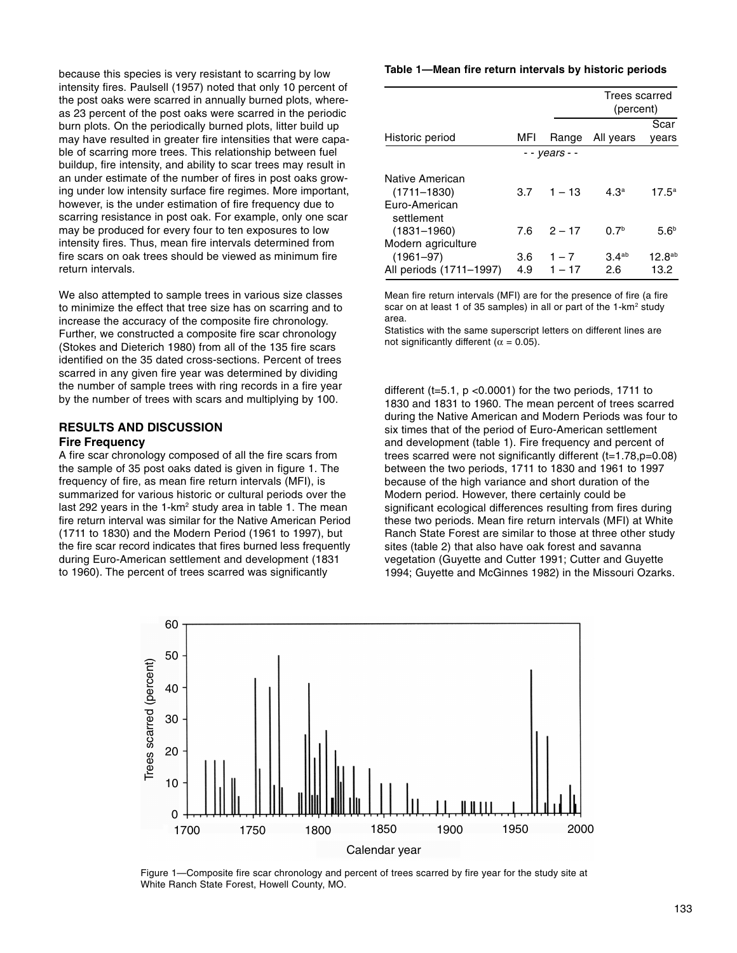because this species is very resistant to scarring by low intensity fires. Paulsell (1957) noted that only 10 percent of the post oaks were scarred in annually burned plots, whereas 23 percent of the post oaks were scarred in the periodic burn plots. On the periodically burned plots, litter build up may have resulted in greater fire intensities that were capable of scarring more trees. This relationship between fuel buildup, fire intensity, and ability to scar trees may result in an under estimate of the number of fires in post oaks growing under low intensity surface fire regimes. More important, however, is the under estimation of fire frequency due to scarring resistance in post oak. For example, only one scar may be produced for every four to ten exposures to low intensity fires. Thus, mean fire intervals determined from fire scars on oak trees should be viewed as minimum fire return intervals.

We also attempted to sample trees in various size classes to minimize the effect that tree size has on scarring and to increase the accuracy of the composite fire chronology. Further, we constructed a composite fire scar chronology (Stokes and Dieterich 1980) from all of the 135 fire scars identified on the 35 dated cross-sections. Percent of trees scarred in any given fire year was determined by dividing the number of sample trees with ring records in a fire year by the number of trees with scars and multiplying by 100.

# **RESULTS AND DISCUSSION Fire Frequency**

A fire scar chronology composed of all the fire scars from the sample of 35 post oaks dated is given in figure 1. The frequency of fire, as mean fire return intervals (MFI), is summarized for various historic or cultural periods over the last 292 years in the  $1$ -km<sup>2</sup> study area in table 1. The mean fire return interval was similar for the Native American Period (1711 to 1830) and the Modern Period (1961 to 1997), but the fire scar record indicates that fires burned less frequently during Euro-American settlement and development (1831 to 1960). The percent of trees scarred was significantly

#### **Table 1—Mean fire return intervals by historic periods**

|                             |     |               | Trees scarred<br>(percent) |                    |
|-----------------------------|-----|---------------|----------------------------|--------------------|
|                             |     |               |                            | Scar               |
| Historic period             | MFI | Range         | All years                  | vears              |
|                             |     | - - vears - - |                            |                    |
| Native American             |     |               |                            |                    |
| $(1711 - 1830)$             | 3.7 | $1 - 13$      | 4.3 <sup>a</sup>           | $17.5^{\circ}$     |
| Euro-American<br>settlement |     |               |                            |                    |
| $(1831 - 1960)$             | 7.6 | $2 - 17$      | 0.7 <sup>b</sup>           | 5.6 <sup>b</sup>   |
| Modern agriculture          |     |               |                            |                    |
| $(1961 - 97)$               | 3.6 | $1 - 7$       | 3.4 <sup>ab</sup>          | 12.8 <sup>ab</sup> |
| All periods (1711-1997)     | 4.9 | $1 - 17$      | 2.6                        | 13.2               |

Mean fire return intervals (MFI) are for the presence of fire (a fire scar on at least 1 of 35 samples) in all or part of the 1-km<sup>2</sup> study area.

Statistics with the same superscript letters on different lines are not significantly different ( $\alpha$  = 0.05).

different (t=5.1, p <0.0001) for the two periods, 1711 to 1830 and 1831 to 1960. The mean percent of trees scarred during the Native American and Modern Periods was four to six times that of the period of Euro-American settlement and development (table 1). Fire frequency and percent of trees scarred were not significantly different (t=1.78,p=0.08) between the two periods, 1711 to 1830 and 1961 to 1997 because of the high variance and short duration of the Modern period. However, there certainly could be significant ecological differences resulting from fires during these two periods. Mean fire return intervals (MFI) at White Ranch State Forest are similar to those at three other study sites (table 2) that also have oak forest and savanna vegetation (Guyette and Cutter 1991; Cutter and Guyette 1994; Guyette and McGinnes 1982) in the Missouri Ozarks.



Figure 1—Composite fire scar chronology and percent of trees scarred by fire year for the study site at White Ranch State Forest, Howell County, MO.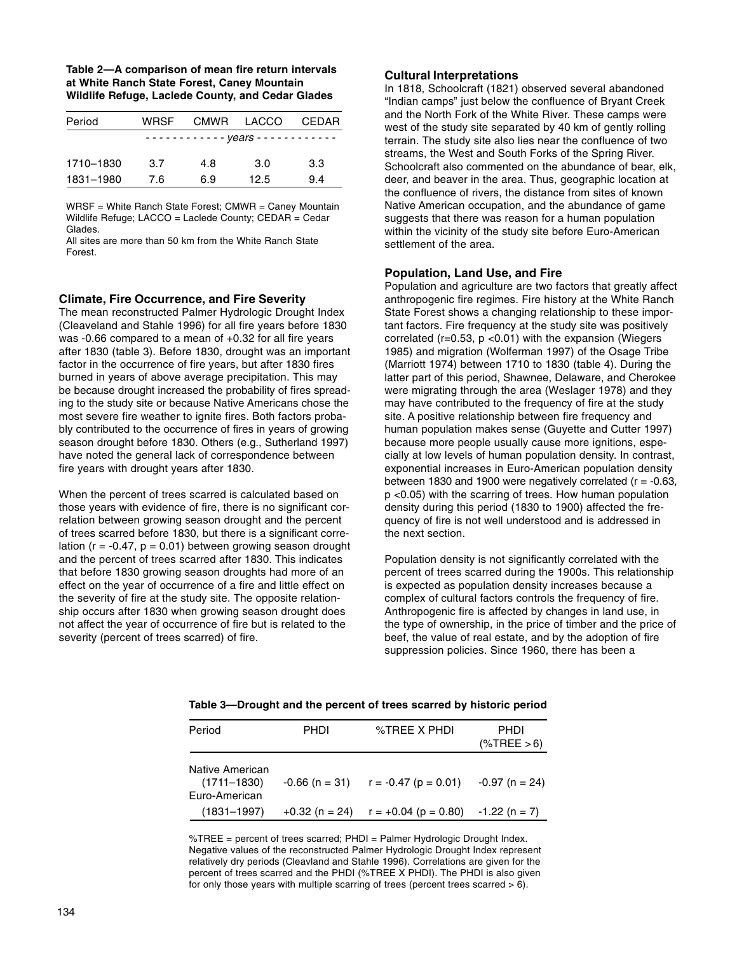| Table 2-A comparison of mean fire return intervals |
|----------------------------------------------------|
| at White Ranch State Forest, Caney Mountain        |
| Wildlife Refuge, Laclede County, and Cedar Glades  |

| Period    | <b>WRSF</b> |     | CMWR LACCO | <b>CEDAR</b> |
|-----------|-------------|-----|------------|--------------|
|           |             |     |            |              |
| 1710-1830 | 3.7         | 4.8 | 3.0        | 3.3          |
| 1831-1980 | 7.6         | 6.9 | 12.5       | 9.4          |

WRSF = White Ranch State Forest; CMWR = Caney Mountain Wildlife Refuge; LACCO = Laclede County; CEDAR = Cedar Glades.

All sites are more than 50 km from the White Ranch State Forest.

#### **Climate, Fire Occurrence, and Fire Severity**

The mean reconstructed Palmer Hydrologic Drought Index (Cleaveland and Stahle 1996) for all fire years before 1830 was -0.66 compared to a mean of +0.32 for all fire years after 1830 (table 3). Before 1830, drought was an important factor in the occurrence of fire years, but after 1830 fires burned in years of above average precipitation. This may be because drought increased the probability of fires spreading to the study site or because Native Americans chose the most severe fire weather to ignite fires. Both factors probably contributed to the occurrence of fires in years of growing season drought before 1830. Others (e.g., Sutherland 1997) have noted the general lack of correspondence between fire years with drought years after 1830.

When the percent of trees scarred is calculated based on those years with evidence of fire, there is no significant correlation between growing season drought and the percent of trees scarred before 1830, but there is a significant correlation ( $r = -0.47$ ,  $p = 0.01$ ) between growing season drought and the percent of trees scarred after 1830. This indicates that before 1830 growing season droughts had more of an effect on the year of occurrence of a fire and little effect on the severity of fire at the study site. The opposite relationship occurs after 1830 when growing season drought does not affect the year of occurrence of fire but is related to the severity (percent of trees scarred) of fire.

# **Cultural Interpretations**

In 1818, Schoolcraft (1821) observed several abandoned "Indian camps" just below the confluence of Bryant Creek and the North Fork of the White River. These camps were west of the study site separated by 40 km of gently rolling terrain. The study site also lies near the confluence of two streams, the West and South Forks of the Spring River. Schoolcraft also commented on the abundance of bear, elk, deer, and beaver in the area. Thus, geographic location at the confluence of rivers, the distance from sites of known Native American occupation, and the abundance of game suggests that there was reason for a human population within the vicinity of the study site before Euro-American settlement of the area.

### **Population, Land Use, and Fire**

Population and agriculture are two factors that greatly affect anthropogenic fire regimes. Fire history at the White Ranch State Forest shows a changing relationship to these important factors. Fire frequency at the study site was positively correlated ( $r=0.53$ ,  $p < 0.01$ ) with the expansion (Wiegers 1985) and migration (Wolferman 1997) of the Osage Tribe (Marriott 1974) between 1710 to 1830 (table 4). During the latter part of this period, Shawnee, Delaware, and Cherokee were migrating through the area (Weslager 1978) and they may have contributed to the frequency of fire at the study site. A positive relationship between fire frequency and human population makes sense (Guyette and Cutter 1997) because more people usually cause more ignitions, especially at low levels of human population density. In contrast, exponential increases in Euro-American population density between 1830 and 1900 were negatively correlated  $(r = -0.63)$ , p <0.05) with the scarring of trees. How human population density during this period (1830 to 1900) affected the frequency of fire is not well understood and is addressed in the next section.

Population density is not significantly correlated with the percent of trees scarred during the 1900s. This relationship is expected as population density increases because a complex of cultural factors controls the frequency of fire. Anthropogenic fire is affected by changes in land use, in the type of ownership, in the price of timber and the price of beef, the value of real estate, and by the adoption of fire suppression policies. Since 1960, there has been a

| Period                                              | <b>PHDI</b> | %TREE X PHDI                                          | PHDI<br>$(\%$ TREE > 6) |
|-----------------------------------------------------|-------------|-------------------------------------------------------|-------------------------|
| Native American<br>$(1711 - 1830)$<br>Euro-American |             | $-0.66$ (n = 31) $r = -0.47$ (p = 0.01)               | $-0.97$ (n = 24)        |
| $(1831 - 1997)$                                     |             | $+0.32$ (n = 24) $r = +0.04$ (p = 0.80) -1.22 (n = 7) |                         |

**Table 3—Drought and the percent of trees scarred by historic period**

%TREE = percent of trees scarred; PHDI = Palmer Hydrologic Drought Index. Negative values of the reconstructed Palmer Hydrologic Drought Index represent relatively dry periods (Cleavland and Stahle 1996). Correlations are given for the percent of trees scarred and the PHDI (%TREE X PHDI). The PHDI is also given for only those years with multiple scarring of trees (percent trees scarred > 6).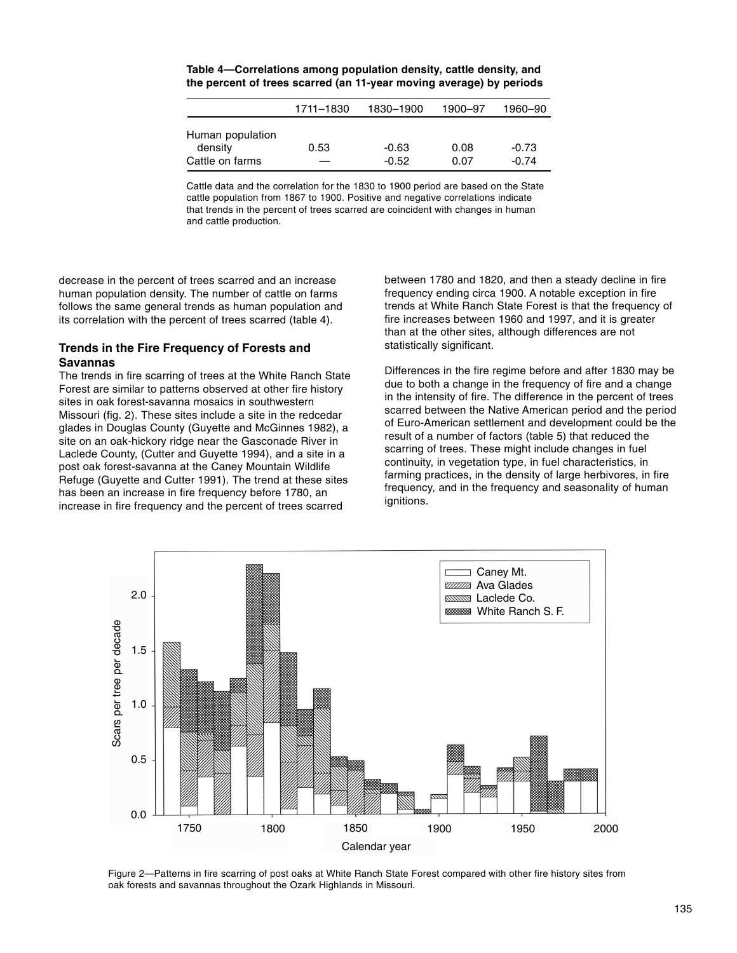|                                                | 1711-1830 | 1830-1900          | 1900-97      | 1960–90            |
|------------------------------------------------|-----------|--------------------|--------------|--------------------|
| Human population<br>density<br>Cattle on farms | 0.53      | $-0.63$<br>$-0.52$ | 0.08<br>0.07 | $-0.73$<br>$-0.74$ |

**Table 4—Correlations among population density, cattle density, and the percent of trees scarred (an 11-year moving average) by periods**

Cattle data and the correlation for the 1830 to 1900 period are based on the State cattle population from 1867 to 1900. Positive and negative correlations indicate that trends in the percent of trees scarred are coincident with changes in human and cattle production.

decrease in the percent of trees scarred and an increase human population density. The number of cattle on farms follows the same general trends as human population and its correlation with the percent of trees scarred (table 4).

### **Trends in the Fire Frequency of Forests and Savannas**

The trends in fire scarring of trees at the White Ranch State Forest are similar to patterns observed at other fire history sites in oak forest-savanna mosaics in southwestern Missouri (fig. 2). These sites include a site in the redcedar glades in Douglas County (Guyette and McGinnes 1982), a site on an oak-hickory ridge near the Gasconade River in Laclede County, (Cutter and Guyette 1994), and a site in a post oak forest-savanna at the Caney Mountain Wildlife Refuge (Guyette and Cutter 1991). The trend at these sites has been an increase in fire frequency before 1780, an increase in fire frequency and the percent of trees scarred

between 1780 and 1820, and then a steady decline in fire frequency ending circa 1900. A notable exception in fire trends at White Ranch State Forest is that the frequency of fire increases between 1960 and 1997, and it is greater than at the other sites, although differences are not statistically significant.

Differences in the fire regime before and after 1830 may be due to both a change in the frequency of fire and a change in the intensity of fire. The difference in the percent of trees scarred between the Native American period and the period of Euro-American settlement and development could be the result of a number of factors (table 5) that reduced the scarring of trees. These might include changes in fuel continuity, in vegetation type, in fuel characteristics, in farming practices, in the density of large herbivores, in fire frequency, and in the frequency and seasonality of human ignitions.



Figure 2—Patterns in fire scarring of post oaks at White Ranch State Forest compared with other fire history sites from oak forests and savannas throughout the Ozark Highlands in Missouri.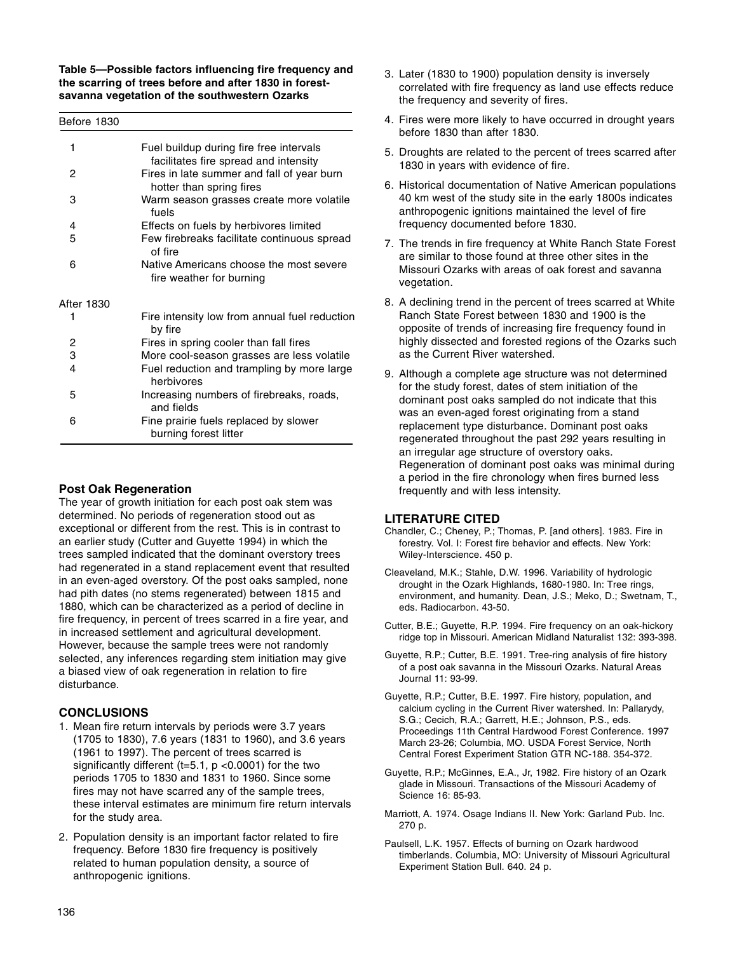**Table 5—Possible factors influencing fire frequency and the scarring of trees before and after 1830 in forestsavanna vegetation of the southwestern Ozarks**

| 1              | Fuel buildup during fire free intervals                                |
|----------------|------------------------------------------------------------------------|
|                | facilitates fire spread and intensity                                  |
| 2              | Fires in late summer and fall of year burn<br>hotter than spring fires |
| 3              | Warm season grasses create more volatile<br>fuels                      |
| 4              | Effects on fuels by herbivores limited                                 |
| 5              | Few firebreaks facilitate continuous spread                            |
|                | of fire                                                                |
| 6              | Native Americans choose the most severe<br>fire weather for burning    |
|                |                                                                        |
| After 1830     |                                                                        |
| 1              | Fire intensity low from annual fuel reduction<br>by fire               |
| 2              | Fires in spring cooler than fall fires                                 |
| 3              | More cool-season grasses are less volatile                             |
| $\overline{4}$ | Fuel reduction and trampling by more large<br>herbivores               |
| 5              | Increasing numbers of firebreaks, roads,<br>and fields                 |
| 6              | Fine prairie fuels replaced by slower                                  |
|                | burning forest litter                                                  |

# **Post Oak Regeneration**

The year of growth initiation for each post oak stem was determined. No periods of regeneration stood out as exceptional or different from the rest. This is in contrast to an earlier study (Cutter and Guyette 1994) in which the trees sampled indicated that the dominant overstory trees had regenerated in a stand replacement event that resulted in an even-aged overstory. Of the post oaks sampled, none had pith dates (no stems regenerated) between 1815 and 1880, which can be characterized as a period of decline in fire frequency, in percent of trees scarred in a fire year, and in increased settlement and agricultural development. However, because the sample trees were not randomly selected, any inferences regarding stem initiation may give a biased view of oak regeneration in relation to fire disturbance.

# **CONCLUSIONS**

- 1. Mean fire return intervals by periods were 3.7 years (1705 to 1830), 7.6 years (1831 to 1960), and 3.6 years (1961 to 1997). The percent of trees scarred is significantly different (t=5.1,  $p$  <0.0001) for the two periods 1705 to 1830 and 1831 to 1960. Since some fires may not have scarred any of the sample trees, these interval estimates are minimum fire return intervals for the study area.
- 2. Population density is an important factor related to fire frequency. Before 1830 fire frequency is positively related to human population density, a source of anthropogenic ignitions.
- 3. Later (1830 to 1900) population density is inversely correlated with fire frequency as land use effects reduce the frequency and severity of fires.
- 4. Fires were more likely to have occurred in drought years before 1830 than after 1830.
- 5. Droughts are related to the percent of trees scarred after 1830 in years with evidence of fire.
- 6. Historical documentation of Native American populations 40 km west of the study site in the early 1800s indicates anthropogenic ignitions maintained the level of fire frequency documented before 1830.
- 7. The trends in fire frequency at White Ranch State Forest are similar to those found at three other sites in the Missouri Ozarks with areas of oak forest and savanna vegetation.
- 8. A declining trend in the percent of trees scarred at White Ranch State Forest between 1830 and 1900 is the opposite of trends of increasing fire frequency found in highly dissected and forested regions of the Ozarks such as the Current River watershed.
- 9. Although a complete age structure was not determined for the study forest, dates of stem initiation of the dominant post oaks sampled do not indicate that this was an even-aged forest originating from a stand replacement type disturbance. Dominant post oaks regenerated throughout the past 292 years resulting in an irregular age structure of overstory oaks. Regeneration of dominant post oaks was minimal during a period in the fire chronology when fires burned less frequently and with less intensity.

# **LITERATURE CITED**

- Chandler, C.; Cheney, P.; Thomas, P. [and others]. 1983. Fire in forestry. Vol. I: Forest fire behavior and effects. New York: Wiley-Interscience. 450 p.
- Cleaveland, M.K.; Stahle, D.W. 1996. Variability of hydrologic drought in the Ozark Highlands, 1680-1980. In: Tree rings, environment, and humanity. Dean, J.S.; Meko, D.; Swetnam, T., eds. Radiocarbon. 43-50.
- Cutter, B.E.; Guyette, R.P. 1994. Fire frequency on an oak-hickory ridge top in Missouri. American Midland Naturalist 132: 393-398.
- Guyette, R.P.; Cutter, B.E. 1991. Tree-ring analysis of fire history of a post oak savanna in the Missouri Ozarks. Natural Areas Journal 11: 93-99.
- Guyette, R.P.; Cutter, B.E. 1997. Fire history, population, and calcium cycling in the Current River watershed. In: Pallarydy, S.G.; Cecich, R.A.; Garrett, H.E.; Johnson, P.S., eds. Proceedings 11th Central Hardwood Forest Conference. 1997 March 23-26; Columbia, MO. USDA Forest Service, North Central Forest Experiment Station GTR NC-188. 354-372.
- Guyette, R.P.; McGinnes, E.A., Jr, 1982. Fire history of an Ozark glade in Missouri. Transactions of the Missouri Academy of Science 16: 85-93.
- Marriott, A. 1974. Osage Indians II. New York: Garland Pub. Inc. 270 p.
- Paulsell, L.K. 1957. Effects of burning on Ozark hardwood timberlands. Columbia, MO: University of Missouri Agricultural Experiment Station Bull. 640. 24 p.